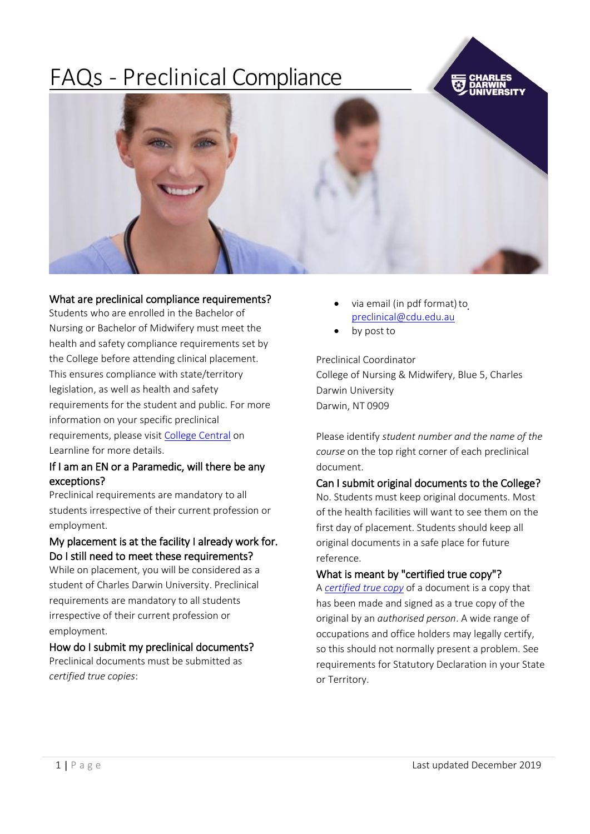# FAQs - Preclinical Compliance



#### What are preclinical compliance requirements?

Students who are enrolled in the Bachelor of Nursing or Bachelor of Midwifery must meet the health and safety compliance requirements set by the College before attending clinical placement. This ensures compliance with state/territory legislation, as well as health and safety requirements for the student and public. For more information on your specific preclinical requirements, please visit [College Central](https://online.cdu.edu.au/ultra/courses/_45757_1/cl/outline) on Learnline for more details.

#### If I am an EN or a Paramedic, will there be any exceptions?

Preclinical requirements are mandatory to all students irrespective of their current profession or employment.

### My placement is at the facility I already work for. Do I still need to meet these requirements?

While on placement, you will be considered as a student of Charles Darwin University. Preclinical requirements are mandatory to all students irrespective of their current profession or employment.

### How do I submit my preclinical documents?

Preclinical documents must be submitted as *certified true copies*:

- via email (in pdf format) to [preclinical@cdu.edu.au](mailto:preclinical@cdu.edu.au)
- by post to

Preclinical Coordinator College of Nursing & Midwifery, Blue 5, Charles Darwin University Darwin, NT 0909

Please identify *student number and the name of the course* on the top right corner of each preclinical document.

### Can I submit original documents to the College?

No. Students must keep original documents. Most of the health facilities will want to see them on the first day of placement. Students should keep all original documents in a safe place for future reference.

#### What is meant by "certified true copy"?

A *[certified true copy](https://www.education.gov.au/guidelines-certification-documents)* of a document is a copy that has been made and signed as a true copy of the original by an *authorised person*. A wide range of occupations and office holders may legally certify, so this should not normally present a problem. See requirements for Statutory Declaration in your State or Territory.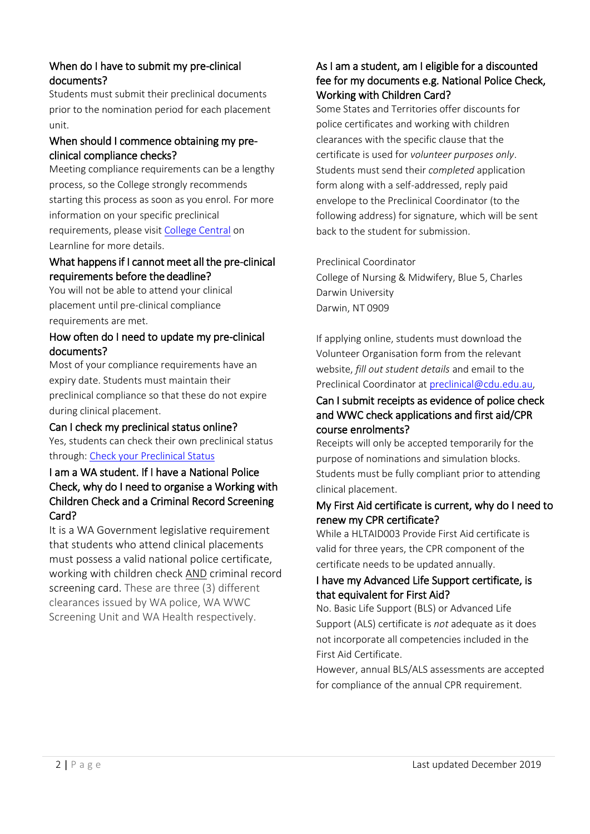# When do I have to submit my pre-clinical documents?

Students must submit their preclinical documents prior to the nomination period for each placement unit.

# When should I commence obtaining my preclinical compliance checks?

Meeting compliance requirements can be a lengthy process, so the College strongly recommends starting this process as soon as you enrol. For more information on your specific preclinical requirements, please visit [College Central](https://online.cdu.edu.au/ultra/courses/_45757_1/cl/outline) on Learnline for more details.

#### What happens if I cannot meet all the pre-clinical requirements before the deadline?

You will not be able to attend your clinical placement until pre-clinical compliance requirements are met.

# How often do I need to update my pre-clinical documents?

Most of your compliance requirements have an expiry date. Students must maintain their preclinical compliance so that these do not expire during clinical placement.

# Can I check my preclinical status online?

Yes, students can check their own preclinical status through[: Check your Preclinical Status](https://portal.cdu.edu.au/dashboard/)

# I am a WA student. If I have a National Police Check, why do I need to organise a Working with Children Check and a Criminal Record Screening Card?

It is a WA Government legislative requirement that students who attend clinical placements must possess a valid national police certificate, working with children check AND criminal record screening card. These are three (3) different clearances issued by WA police, WA WWC Screening Unit and WA Health respectively.

# As I am a student, am I eligible for a discounted fee for my documents e.g. National Police Check, Working with Children Card?

Some States and Territories offer discounts for police certificates and working with children clearances with the specific clause that the certificate is used for *volunteer purposes only*. Students must send their *completed* application form along with a self-addressed, reply paid envelope to the Preclinical Coordinator (to the following address) for signature, which will be sent back to the student for submission.

#### Preclinical Coordinator

College of Nursing & Midwifery, Blue 5, Charles Darwin University Darwin, NT 0909

If applying online, students must download the Volunteer Organisation form from the relevant website, *fill out student details* and email to the Preclinical Coordinator a[t preclinical@cdu.edu.au,](mailto:preclinical@cdu.edu.au)

# Can I submit receipts as evidence of police check and WWC check applications and first aid/CPR course enrolments?

Receipts will only be accepted temporarily for the purpose of nominations and simulation blocks. Students must be fully compliant prior to attending clinical placement.

### My First Aid certificate is current, why do I need to renew my CPR certificate?

While a HLTAID003 Provide First Aid certificate is valid for three years, the CPR component of the certificate needs to be updated annually.

# I have my Advanced Life Support certificate, is that equivalent for First Aid?

No. Basic Life Support (BLS) or Advanced Life Support (ALS) certificate is *not* adequate as it does not incorporate all competencies included in the First Aid Certificate.

However, annual BLS/ALS assessments are accepted for compliance of the annual CPR requirement.